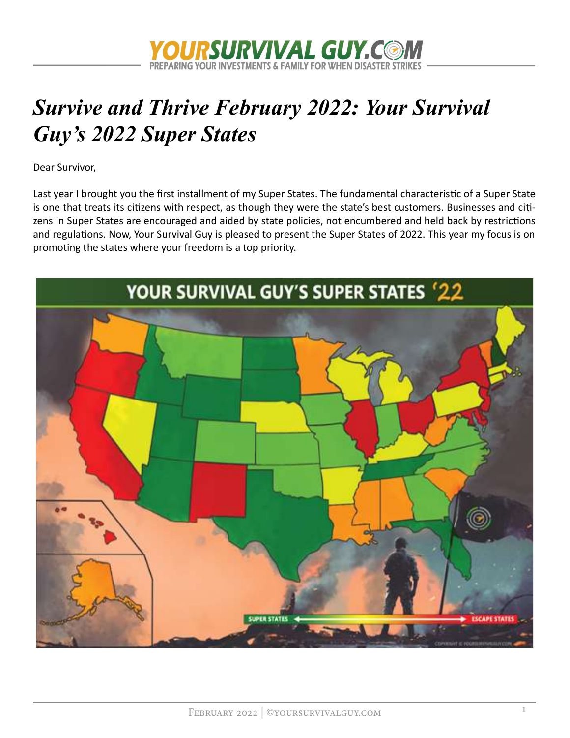

# Survive and Thrive February 2022: Your Survival Guy's 2022 Super States

Dear Survivor,

Last year I brought you the first installment of my Super States. The fundamental characteristic of a Super State is one that treats its citizens with respect, as though they were the state's best customers. Businesses and citizens in Super States are encouraged and aided by state policies, not encumbered and held back by restrictions and regulations. Now, Your Survival Guy is pleased to present the Super States of 2022. This year my focus is on promoting the states where your freedom is a top priority.

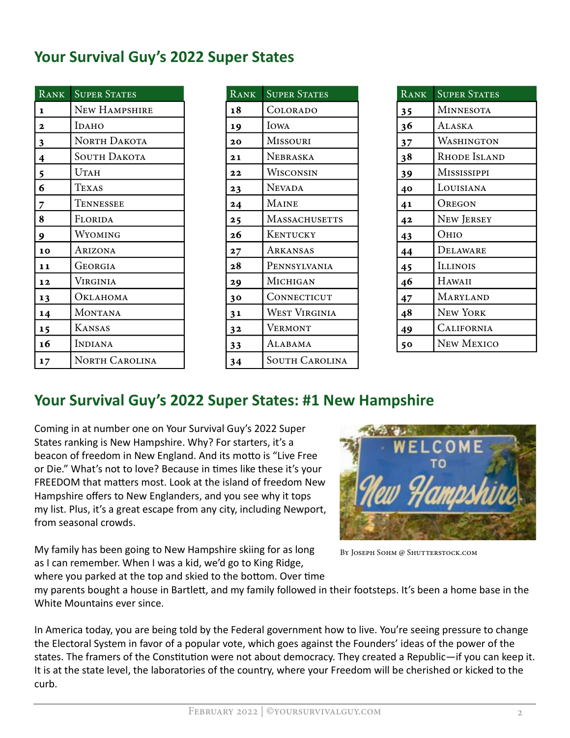### Your Survival Guy's 2022 Super States

| RANK             | <b>SUPER STATES</b>   | RANK           | <b>SUPER STATES</b>   | RANK | <b>SUPER STATES</b> |
|------------------|-----------------------|----------------|-----------------------|------|---------------------|
| $\vert$ 1        | NEW HAMPSHIRE         | 18             | COLORADO              | 35   | <b>MINNESOTA</b>    |
| $\vert$ 2        | <b>IDAHO</b>          | 19             | IOWA                  | 36   | ALASKA              |
| $\frac{3}{2}$    | NORTH DAKOTA          | 20             | <b>MISSOURI</b>       | 37   | <b>WASHINGTON</b>   |
| $\vert$ 4        | <b>SOUTH DAKOTA</b>   | 21             | NEBRASKA              | 38   | <b>RHODE ISLANI</b> |
| $\frac{5}{6}$    | <b>UTAH</b>           | 22             | WISCONSIN             | 39   | MISSISSIPPI         |
|                  | TEXAS                 | 23             | <b>NEVADA</b>         | 40   | LOUISIANA           |
| $\overline{z}$   | TENNESSEE             | 24             | <b>MAINE</b>          | 41   | <b>OREGON</b>       |
| 8                | FLORIDA               | 25             | <b>MASSACHUSETTS</b>  | 42   | NEW JERSEY          |
| $\overline{9}$   | WYOMING               | 26             | <b>KENTUCKY</b>       | 43   | Оню                 |
| 10               | ARIZONA               | 27             | ARKANSAS              | 44   | DELAWARE            |
| 11               | GEORGIA               | 28             | PENNSYLVANIA          | 45   | <b>ILLINOIS</b>     |
| <b>12</b>        | <b>VIRGINIA</b>       | 29             | MICHIGAN              | 46   | HAWAII              |
| 13               | ОкLAHOMA              | 30             | CONNECTICUT           | 47   | MARYLAND            |
| 14               | <b>MONTANA</b>        | 31             | <b>WEST VIRGINIA</b>  | 48   | NEW YORK            |
| $\vert$ 15       | <b>KANSAS</b>         | 3 <sub>2</sub> | <b>VERMONT</b>        | 49   | <b>CALIFORNIA</b>   |
| 16               | INDIANA               | 33             | ALABAMA               | 50   | NEW MEXICO          |
| $\vert 17 \vert$ | <b>NORTH CAROLINA</b> | 34             | <b>SOUTH CAROLINA</b> |      |                     |

| <b>SUPER STATES</b> | RANK | <b>SUPER STATES</b>   | RANK           | <b>SUPER STATES</b> |
|---------------------|------|-----------------------|----------------|---------------------|
| New HAMPSHIRE       | 18   | COLORADO              | 35             | <b>MINNESOTA</b>    |
| Ірано               | 19   | IOWA                  | 36<br>37<br>38 | ALASKA              |
| North Dakota        | 20   | <b>MISSOURI</b>       |                | WASHINGTON          |
| <b>SOUTH DAKOTA</b> | 21   | <b>NEBRASKA</b>       |                | RHODE ISLAND        |
| UTAH                | 22   | WISCONSIN             | 39             | MISSISSIPPI         |
| <b>TEXAS</b>        | 23   | <b>NEVADA</b>         | 40             | LOUISIANA           |
| Tennessee           | 24   | <b>MAINE</b>          | 41             | OREGON              |
| FLORIDA             | 25   | <b>MASSACHUSETTS</b>  | 42             | NEW JERSEY          |
| WYOMING             | 26   | KENTUCKY              | 43             | Оню                 |
| ARIZONA             | 27   | ARKANSAS              | 44             | DELAWARE            |
| GEORGIA             | 28   | PENNSYLVANIA          | 45             | <b>ILLINOIS</b>     |
| VIRGINIA            | 29   | MICHIGAN              | 46             | HAWAII              |
| ОкLAHOMA            | 30   | CONNECTICUT           | 47             | MARYLAND            |
| MONTANA             | 31   | <b>WEST VIRGINIA</b>  | 48             | <b>NEW YORK</b>     |
| <b>KANSAS</b>       | 32   | <b>VERMONT</b>        | 49             | <b>CALIFORNIA</b>   |
| <b>INDIANA</b>      | 33   | ALABAMA               | 50             | New Mexico          |
| NORTH CAROLINA      | 34   | <b>SOUTH CAROLINA</b> |                |                     |

| <b>RANK</b> | <b>SUPER STATES</b> |
|-------------|---------------------|
| 35          | <b>MINNESOTA</b>    |
| 36          | Alaska              |
| 37          | WASHINGTON          |
| 38          | Rhode Island        |
| 39          | MISSISSIPPI         |
| 40          | LOUISIANA           |
| 41          | Oregon              |
| 42          | New Jersey          |
| 43          | Оню                 |
| 44          | DELAWARE            |
| 45          | <b>ILLINOIS</b>     |
| 46          | HAWAII              |
| 47          | MARYLAND            |
| 48          | <b>NEW YORK</b>     |
| 49          | CALIFORNIA          |
| 50          | <b>NEW MEXICO</b>   |

### Your Survival Guy's 2022 Super States: #1 New Hampshire

Coming in at number one on Your Survival Guy's 2022 Super States ranking is New Hampshire. Why? For starters, it's a beacon of freedom in New England. And its motto is "Live Free or Die." What's not to love? Because in times like these it's your FREEDOM that matters most. Look at the island of freedom New Hampshire offers to New Englanders, and you see why it tops my list. Plus, it's a great escape from any city, including Newport, from seasonal crowds.

My family has been going to New Hampshire skiing for as long as I can remember. When I was a kid, we'd go to King Ridge, where you parked at the top and skied to the bottom. Over time



BY JOSEPH SOHM @ SHUTTERSTOCK.COM

my parents bought a house in Bartlett, and my family followed in their footsteps. It's been a home base in the White Mountains ever since.

In America today, you are being told by the Federal government how to live. You're seeing pressure to change the Electoral System in favor of a popular vote, which goes against the Founders' ideas of the power of the states. The framers of the Constitution were not about democracy. They created a Republic—if you can keep it. It is at the state level, the laboratories of the country, where your Freedom will be cherished or kicked to the curb.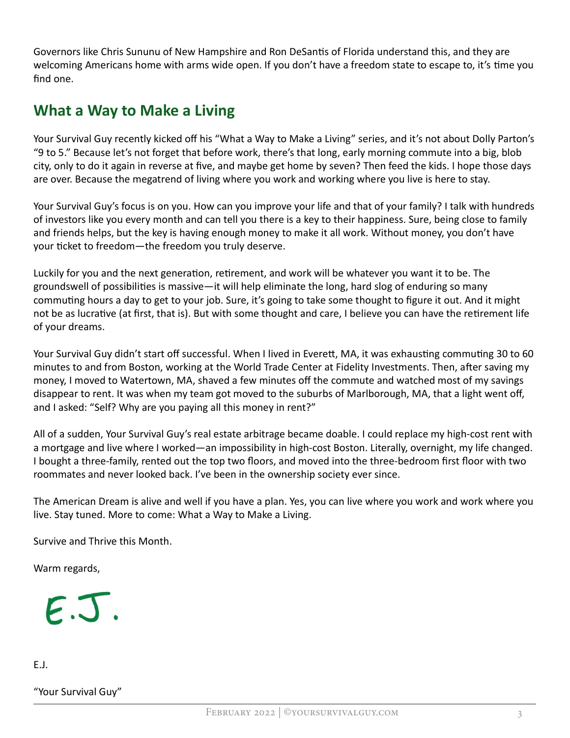Governors like Chris Sununu of New Hampshire and Ron DeSantis of Florida understand this, and they are welcoming Americans home with arms wide open. If you don't have a freedom state to escape to, it's time you find one.

### What a Way to Make a Living

Your Survival Guy recently kicked off his "What a Way to Make a Living" series, and it's not about Dolly Parton's "9 to 5." Because let's not forget that before work, there's that long, early morning commute into a big, blob city, only to do it again in reverse at five, and maybe get home by seven? Then feed the kids. I hope those days are over. Because the megatrend of living where you work and working where you live is here to stay.

Your Survival Guy's focus is on you. How can you improve your life and that of your family? I talk with hundreds of investors like you every month and can tell you there is a key to their happiness. Sure, being close to family and friends helps, but the key is having enough money to make it all work. Without money, you don't have your ticket to freedom—the freedom you truly deserve.

Luckily for you and the next generation, retirement, and work will be whatever you want it to be. The groundswell of possibilities is massive—it will help eliminate the long, hard slog of enduring so many commuting hours a day to get to your job. Sure, it's going to take some thought to figure it out. And it might not be as lucrative (at first, that is). But with some thought and care, I believe you can have the retirement life of your dreams.

Your Survival Guy didn't start off successful. When I lived in Everett, MA, it was exhausting commuting 30 to 60 minutes to and from Boston, working at the World Trade Center at Fidelity Investments. Then, after saving my money, I moved to Watertown, MA, shaved a few minutes off the commute and watched most of my savings disappear to rent. It was when my team got moved to the suburbs of Marlborough, MA, that a light went off, and I asked: "Self? Why are you paying all this money in rent?"

All of a sudden, Your Survival Guy's real estate arbitrage became doable. I could replace my high-cost rent with a mortgage and live where I worked—an impossibility in high-cost Boston. Literally, overnight, my life changed. I bought a three-family, rented out the top two floors, and moved into the three-bedroom first floor with two roommates and never looked back. I've been in the ownership society ever since.

The American Dream is alive and well if you have a plan. Yes, you can live where you work and work where you live. Stay tuned. More to come: What a Way to Make a Living.

Survive and Thrive this Month.

Warm regards,



E.J.

#### "Your Survival Guy"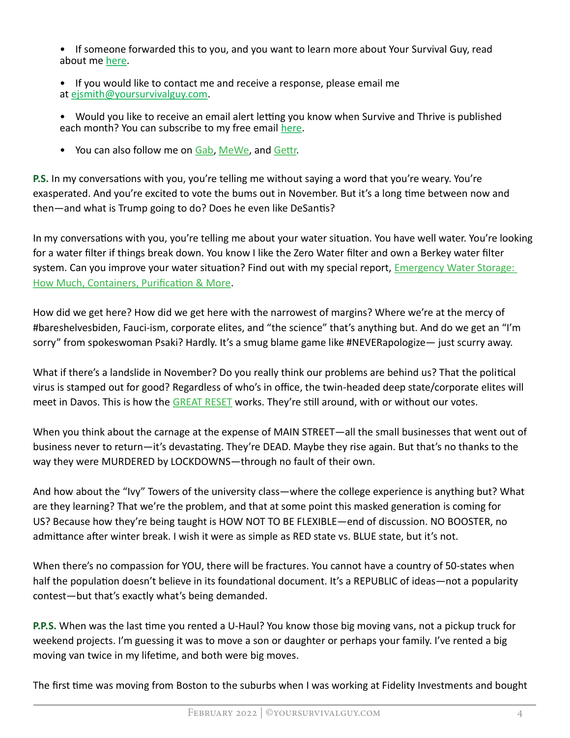- If someone forwarded this to you, and you want to learn more about Your Survival Guy, read about m[e here.](https://www.yoursurvivalguy.com/about-me/)
- If you would like to contact me and receive a response, please email me at [ejsmith@yoursurvivalguy.com.](mailto:ejsmith@yoursurvivalguy.com)
- Would you like to receive an email alert letting you know when Survive and Thrive is published each month? You can subscribe to my free ema[il here.](https://forms.aweber.com/form/78/229550378.htm)
- You can also follow m[e on Gab,](https://gab.com/yoursurvivalguy) [MeWe,](https://mewe.com/i/yoursurvivalguy) and Gettr.

P.S. In my conversations with you, you're telling me without saying a word that you're weary. You're exasperated. And you're excited to vote the bums out in November. But it's a long time between now and then—and what is Trump going to do? Does he even like DeSantis?

In my conversations with you, you're telling me about your water situation. You have well water. You're looking for a water filter if things break down. You know I like the Zero Water filter and own a Berkey water filter system. Can you improve your water situation? Find out with my special report, Emergency Water Storage: How Much, Containers, Purification & More.

How did we get here? How did we get here with the narrowest of margins? Where we're at the mercy of #bareshelvesbiden, Fauci-ism, corporate elites, and "the science" that's anything but. And do we get an "I'm sorry" from spokeswoman Psaki? Hardly. It's a smug blame game like #NEVERapologize— just scurry away.

What if there's a landslide in November? Do you really think our problems are behind us? That the political virus is stamped out for good? Regardless of who's in office, the twin-headed deep state/corporate elites will meet in Davos. This is how the GREAT RESET works. They're still around, with or without our votes.

When you think about the carnage at the expense of MAIN STREET—all the small businesses that went out of business never to return—it's devastating. They're DEAD. Maybe they rise again. But that's no thanks to the way they were MURDERED by LOCKDOWNS—through no fault of their own.

And how about the "Ivy" Towers of the university class—where the college experience is anything but? What are they learning? That we're the problem, and that at some point this masked generation is coming for US? Because how they're being taught is HOW NOT TO BE FLEXIBLE—end of discussion. NO BOOSTER, no admittance after winter break. I wish it were as simple as RED state vs. BLUE state, but it's not.

When there's no compassion for YOU, there will be fractures. You cannot have a country of 50-states when half the population doesn't believe in its foundational document. It's a REPUBLIC of ideas—not a popularity contest—but that's exactly what's being demanded.

P.P.S. When was the last time you rented a U-Haul? You know those big moving vans, not a pickup truck for weekend projects. I'm guessing it was to move a son or daughter or perhaps your family. I've rented a big moving van twice in my lifetime, and both were big moves.

The first time was moving from Boston to the suburbs when I was working at Fidelity Investments and bought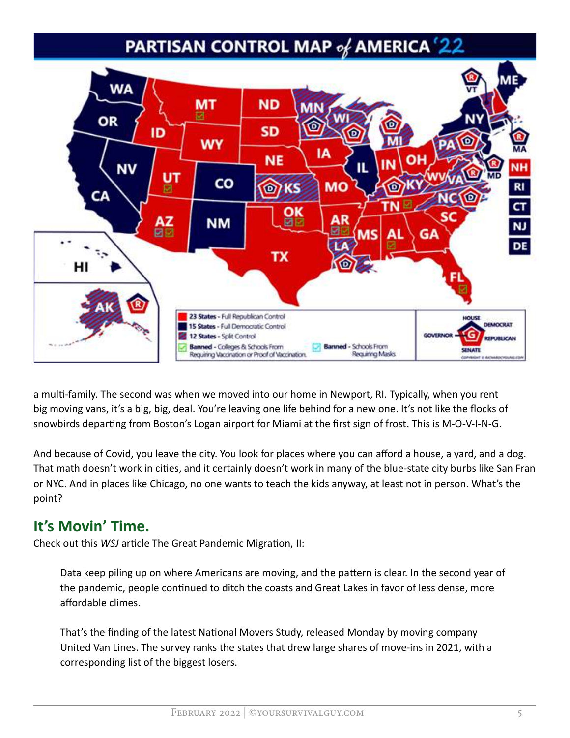## PARTISAN CONTROL MAP of AMERICA '2



a multi-family. The second was when we moved into our home in Newport, RI. Typically, when you rent big moving vans, it's a big, big, deal. You're leaving one life behind for a new one. It's not like the flocks of snowbirds departing from Boston's Logan airport for Miami at the first sign of frost. This is M-O-V-I-N-G.

And because of Covid, you leave the city. You look for places where you can afford a house, a yard, and a dog. That math doesn't work in cities, and it certainly doesn't work in many of the blue-state city burbs like San Fran or NYC. And in places like Chicago, no one wants to teach the kids anyway, at least not in person. What's the point?

#### It's Movin' Time.

Check out this WSJ article The Great Pandemic Migration, II:

Data keep piling up on where Americans are moving, and the pattern is clear. In the second year of the pandemic, people continued to ditch the coasts and Great Lakes in favor of less dense, more affordable climes.

That's the finding of the latest National Movers Study, released Monday by moving company United Van Lines. The survey ranks the states that drew large shares of move-ins in 2021, with a corresponding list of the biggest losers.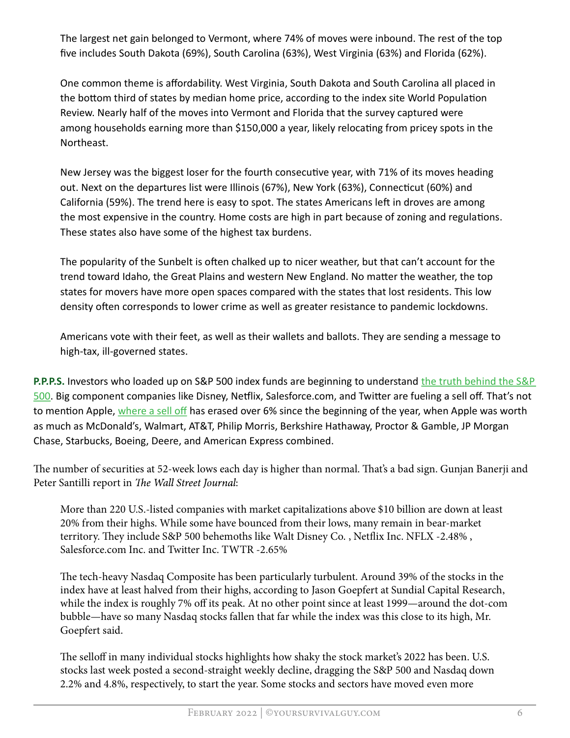The largest net gain belonged to Vermont, where 74% of moves were inbound. The rest of the top five includes South Dakota (69%), South Carolina (63%), West Virginia (63%) and Florida (62%).

One common theme is affordability. West Virginia, South Dakota and South Carolina all placed in the bottom third of states by median home price, according to the index site World Population Review. Nearly half of the moves into Vermont and Florida that the survey captured were among households earning more than \$150,000 a year, likely relocating from pricey spots in the Northeast.

New Jersey was the biggest loser for the fourth consecutive year, with 71% of its moves heading out. Next on the departures list were Illinois (67%), New York (63%), Connecticut (60%) and California (59%). The trend here is easy to spot. The states Americans left in droves are among the most expensive in the country. Home costs are high in part because of zoning and regulations. These states also have some of the highest tax burdens.

The popularity of the Sunbelt is often chalked up to nicer weather, but that can't account for the trend toward Idaho, the Great Plains and western New England. No matter the weather, the top states for movers have more open spaces compared with the states that lost residents. This low density often corresponds to lower crime as well as greater resistance to pandemic lockdowns.

Americans vote with their feet, as well as their wallets and ballots. They are sending a message to high-tax, ill-governed states.

P.P.P.S. Investors who loaded up on S&P 500 index funds are beginning to understand the truth behind the S&P [500. Big](https://www.yoursurvivalguy.com/category/financial-security/the-truth-behind-the-sp-500/) component companies like Disney, Netflix, Salesforce.com, and Twitter are fueling a sell off. That's not to mention Apple[, where a sell off h](https://www.yoursurvivalguy.com/financial-security/money-101/sell-off-taking-a-bite-out-of-apple/)as erased over 6% since the beginning of the year, when Apple was worth as much as McDonald's, Walmart, AT&T, Philip Morris, Berkshire Hathaway, Proctor & Gamble, JP Morgan Chase, Starbucks, Boeing, Deere, and American Express combined.

The number of securities at 52-week lows each day is higher than normal. That's a bad sign. Gunjan Banerji and Peter Santilli report in The Wall Street Journal:

More than 220 U.S.-listed companies with market capitalizations above \$10 billion are down at least 20% from their highs. While some have bounced from their lows, many remain in bear-market territory. They include S&P 500 behemoths like Walt Disney Co., Netflix Inc. NFLX -2.48%, Salesforce.com Inc. and Twitter Inc. TWTR -2.65%

The tech-heavy Nasdaq Composite has been particularly turbulent. Around 39% of the stocks in the index have at least halved from their highs, according to Jason Goepfert at Sundial Capital Research, while the index is roughly 7% off its peak. At no other point since at least 1999—around the dot-com bubble—have so many Nasdaq stocks fallen that far while the index was this close to its high, Mr. Goepfert said.

The selloff in many individual stocks highlights how shaky the stock market's 2022 has been. U.S. stocks last week posted a second-straight weekly decline, dragging the S&P 500 and Nasdaq down 2.2% and 4.8%, respectively, to start the year. Some stocks and sectors have moved even more